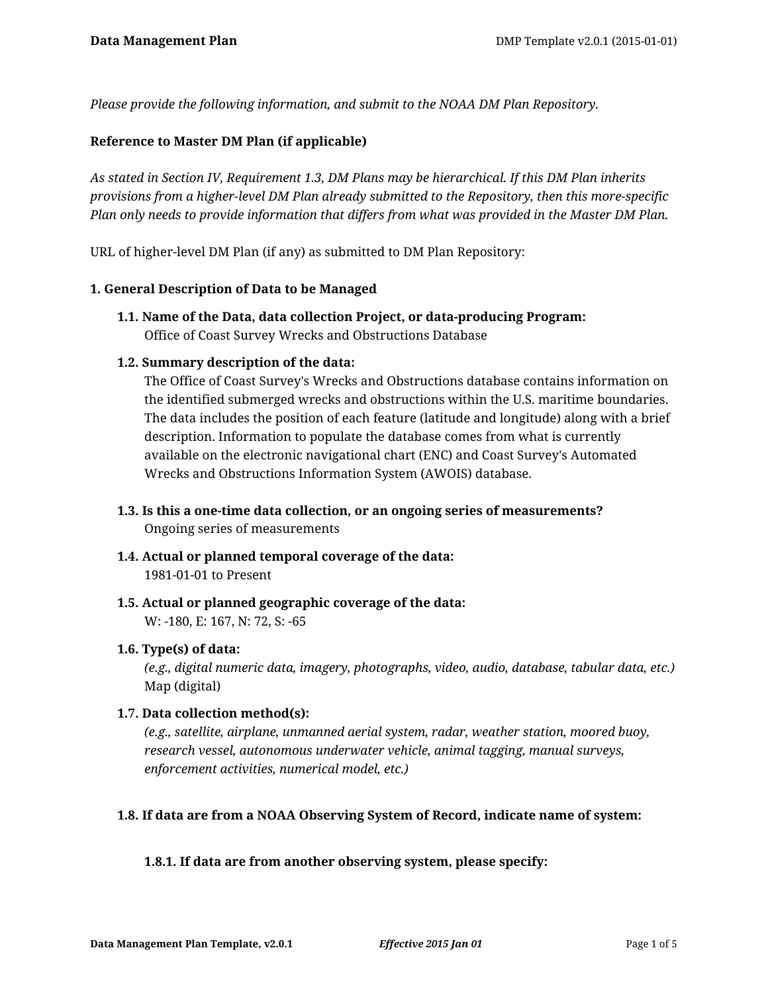*Please provide the following information, and submit to the NOAA DM Plan Repository.*

# **Reference to Master DM Plan (if applicable)**

*As stated in Section IV, Requirement 1.3, DM Plans may be hierarchical. If this DM Plan inherits provisions from a higher-level DM Plan already submitted to the Repository, then this more-specific Plan only needs to provide information that differs from what was provided in the Master DM Plan.*

URL of higher-level DM Plan (if any) as submitted to DM Plan Repository:

#### **1. General Description of Data to be Managed**

**1.1. Name of the Data, data collection Project, or data-producing Program:** Office of Coast Survey Wrecks and Obstructions Database

#### **1.2. Summary description of the data:**

The Office of Coast Survey's Wrecks and Obstructions database contains information on the identified submerged wrecks and obstructions within the U.S. maritime boundaries. The data includes the position of each feature (latitude and longitude) along with a brief description. Information to populate the database comes from what is currently available on the electronic navigational chart (ENC) and Coast Survey's Automated Wrecks and Obstructions Information System (AWOIS) database.

- **1.3. Is this a one-time data collection, or an ongoing series of measurements?** Ongoing series of measurements
- **1.4. Actual or planned temporal coverage of the data:** 1981-01-01 to Present
- **1.5. Actual or planned geographic coverage of the data:** W: -180, E: 167, N: 72, S: -65

#### **1.6. Type(s) of data:**

*(e.g., digital numeric data, imagery, photographs, video, audio, database, tabular data, etc.)* Map (digital)

#### **1.7. Data collection method(s):**

*(e.g., satellite, airplane, unmanned aerial system, radar, weather station, moored buoy, research vessel, autonomous underwater vehicle, animal tagging, manual surveys, enforcement activities, numerical model, etc.)*

#### **1.8. If data are from a NOAA Observing System of Record, indicate name of system:**

# **1.8.1. If data are from another observing system, please specify:**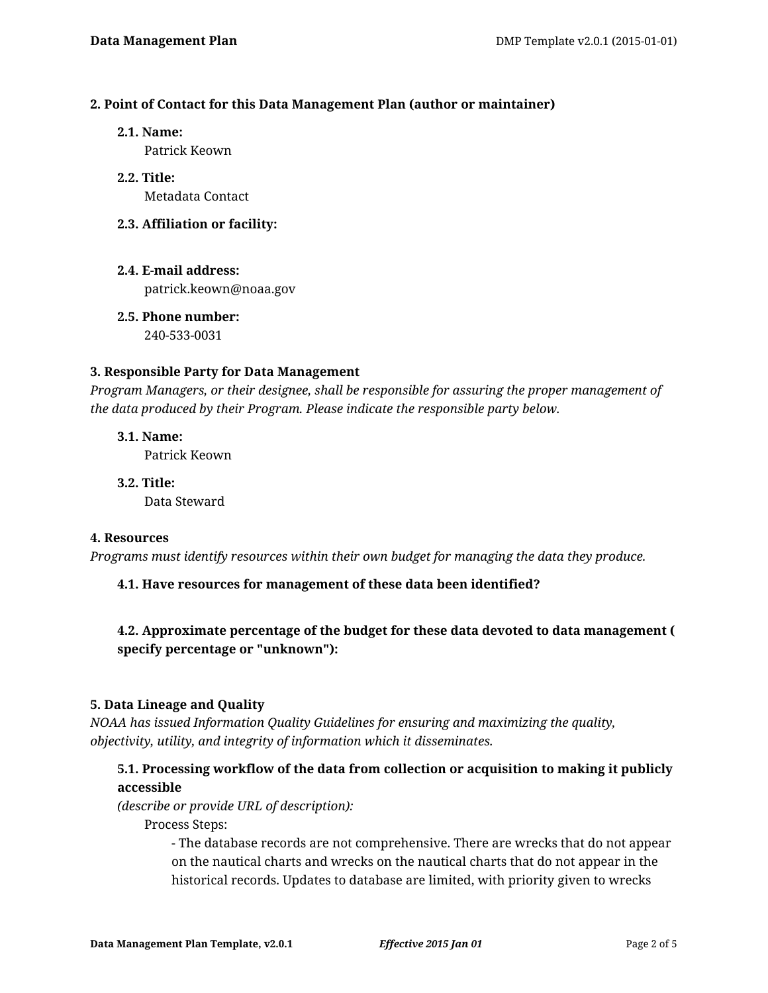#### **2. Point of Contact for this Data Management Plan (author or maintainer)**

**2.1. Name:**

Patrick Keown

- **2.2. Title:** Metadata Contact
- **2.3. Affiliation or facility:**
- **2.4. E-mail address:** patrick.keown@noaa.gov
- **2.5. Phone number:** 240-533-0031

# **3. Responsible Party for Data Management**

*Program Managers, or their designee, shall be responsible for assuring the proper management of the data produced by their Program. Please indicate the responsible party below.*

**3.1. Name:** Patrick Keown

**3.2. Title:** Data Steward

#### **4. Resources**

*Programs must identify resources within their own budget for managing the data they produce.*

# **4.1. Have resources for management of these data been identified?**

# **4.2. Approximate percentage of the budget for these data devoted to data management ( specify percentage or "unknown"):**

# **5. Data Lineage and Quality**

*NOAA has issued Information Quality Guidelines for ensuring and maximizing the quality, objectivity, utility, and integrity of information which it disseminates.*

# **5.1. Processing workflow of the data from collection or acquisition to making it publicly accessible**

*(describe or provide URL of description):*

Process Steps:

- The database records are not comprehensive. There are wrecks that do not appear on the nautical charts and wrecks on the nautical charts that do not appear in the historical records. Updates to database are limited, with priority given to wrecks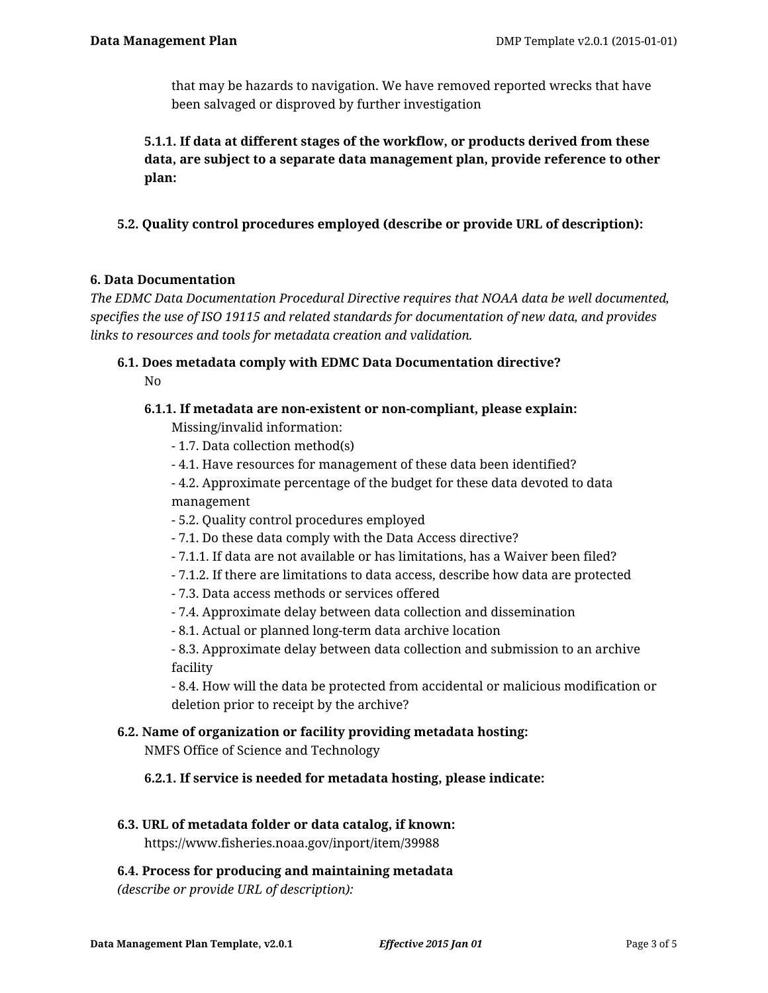that may be hazards to navigation. We have removed reported wrecks that have been salvaged or disproved by further investigation

**5.1.1. If data at different stages of the workflow, or products derived from these data, are subject to a separate data management plan, provide reference to other plan:**

**5.2. Quality control procedures employed (describe or provide URL of description):**

# **6. Data Documentation**

*The EDMC Data Documentation Procedural Directive requires that NOAA data be well documented, specifies the use of ISO 19115 and related standards for documentation of new data, and provides links to resources and tools for metadata creation and validation.*

# **6.1. Does metadata comply with EDMC Data Documentation directive?** No

# **6.1.1. If metadata are non-existent or non-compliant, please explain:**

Missing/invalid information:

- 1.7. Data collection method(s)
- 4.1. Have resources for management of these data been identified?

- 4.2. Approximate percentage of the budget for these data devoted to data management

- 5.2. Quality control procedures employed
- 7.1. Do these data comply with the Data Access directive?
- 7.1.1. If data are not available or has limitations, has a Waiver been filed?
- 7.1.2. If there are limitations to data access, describe how data are protected
- 7.3. Data access methods or services offered
- 7.4. Approximate delay between data collection and dissemination
- 8.1. Actual or planned long-term data archive location

- 8.3. Approximate delay between data collection and submission to an archive facility

- 8.4. How will the data be protected from accidental or malicious modification or deletion prior to receipt by the archive?

# **6.2. Name of organization or facility providing metadata hosting:**

NMFS Office of Science and Technology

# **6.2.1. If service is needed for metadata hosting, please indicate:**

**6.3. URL of metadata folder or data catalog, if known:**

https://www.fisheries.noaa.gov/inport/item/39988

# **6.4. Process for producing and maintaining metadata**

*(describe or provide URL of description):*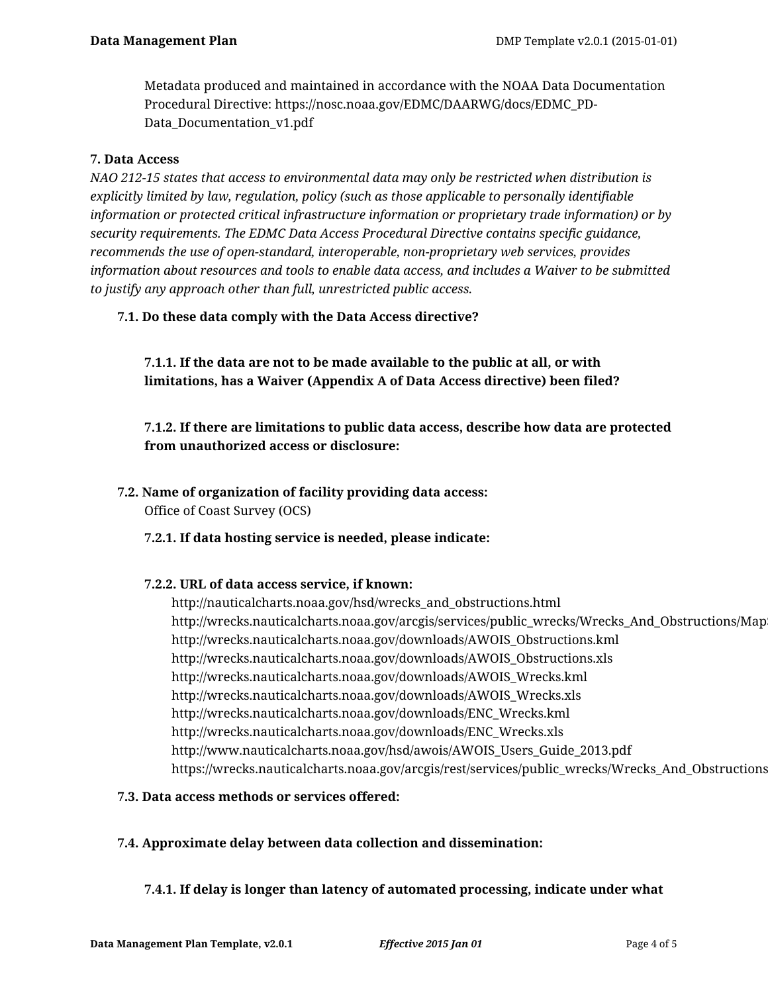Metadata produced and maintained in accordance with the NOAA Data Documentation Procedural Directive: https://nosc.noaa.gov/EDMC/DAARWG/docs/EDMC\_PD-Data\_Documentation\_v1.pdf

#### **7. Data Access**

*NAO 212-15 states that access to environmental data may only be restricted when distribution is explicitly limited by law, regulation, policy (such as those applicable to personally identifiable information or protected critical infrastructure information or proprietary trade information) or by security requirements. The EDMC Data Access Procedural Directive contains specific guidance, recommends the use of open-standard, interoperable, non-proprietary web services, provides information about resources and tools to enable data access, and includes a Waiver to be submitted to justify any approach other than full, unrestricted public access.*

# **7.1. Do these data comply with the Data Access directive?**

**7.1.1. If the data are not to be made available to the public at all, or with limitations, has a Waiver (Appendix A of Data Access directive) been filed?**

**7.1.2. If there are limitations to public data access, describe how data are protected from unauthorized access or disclosure:**

**7.2. Name of organization of facility providing data access:**

Office of Coast Survey (OCS)

# **7.2.1. If data hosting service is needed, please indicate:**

#### **7.2.2. URL of data access service, if known:**

http://nauticalcharts.noaa.gov/hsd/wrecks\_and\_obstructions.html http://wrecks.nauticalcharts.noaa.gov/arcgis/services/public\_wrecks/Wrecks\_And\_Obstructions/Map http://wrecks.nauticalcharts.noaa.gov/downloads/AWOIS\_Obstructions.kml http://wrecks.nauticalcharts.noaa.gov/downloads/AWOIS\_Obstructions.xls http://wrecks.nauticalcharts.noaa.gov/downloads/AWOIS\_Wrecks.kml http://wrecks.nauticalcharts.noaa.gov/downloads/AWOIS\_Wrecks.xls http://wrecks.nauticalcharts.noaa.gov/downloads/ENC\_Wrecks.kml http://wrecks.nauticalcharts.noaa.gov/downloads/ENC\_Wrecks.xls http://www.nauticalcharts.noaa.gov/hsd/awois/AWOIS\_Users\_Guide\_2013.pdf https://wrecks.nauticalcharts.noaa.gov/arcgis/rest/services/public\_wrecks/Wrecks\_And\_Obstructions

# **7.3. Data access methods or services offered:**

# **7.4. Approximate delay between data collection and dissemination:**

# **7.4.1. If delay is longer than latency of automated processing, indicate under what**